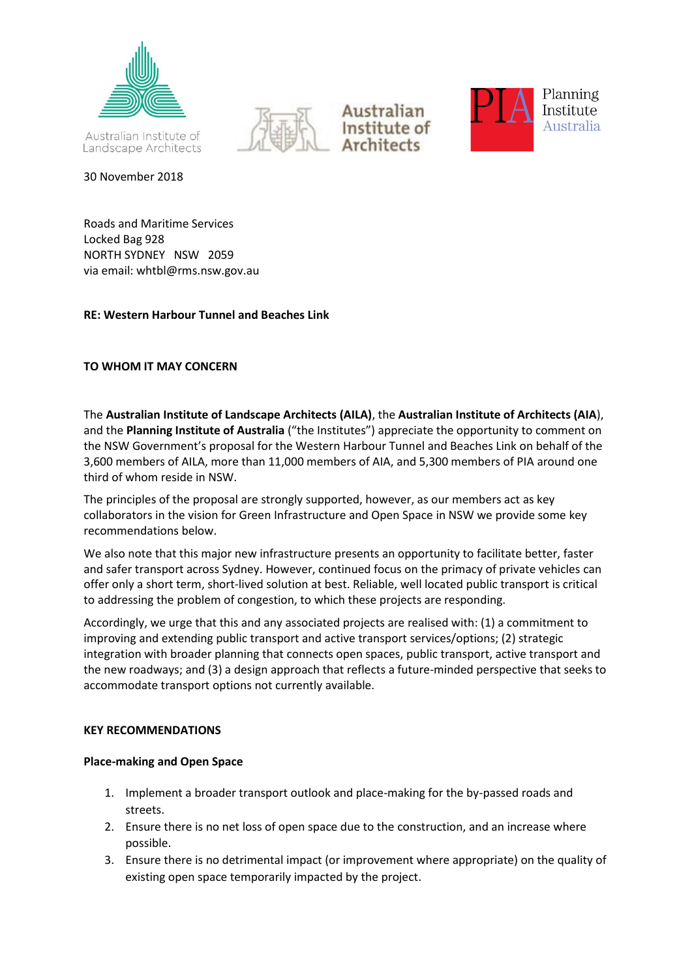

30 November 2018







Roads and Maritime Services Locked Bag 928

NORTH SYDNEY NSW 2059 via email: whtbl@rms.nsw.gov.au

## **RE: Western Harbour Tunnel and Beaches Link**

# **TO WHOM IT MAY CONCERN**

The **Australian Institute of Landscape Architects (AILA)**, the **Australian Institute of Architects (AIA**), and the **Planning Institute of Australia** ("the Institutes") appreciate the opportunity to comment on the NSW Government's proposal for the Western Harbour Tunnel and Beaches Link on behalf of the 3,600 members of AILA, more than 11,000 members of AIA, and 5,300 members of PIA around one third of whom reside in NSW.

The principles of the proposal are strongly supported, however, as our members act as key collaborators in the vision for Green Infrastructure and Open Space in NSW we provide some key recommendations below.

We also note that this major new infrastructure presents an opportunity to facilitate better, faster and safer transport across Sydney. However, continued focus on the primacy of private vehicles can offer only a short term, short-lived solution at best. Reliable, well located public transport is critical to addressing the problem of congestion, to which these projects are responding.

Accordingly, we urge that this and any associated projects are realised with: (1) a commitment to improving and extending public transport and active transport services/options; (2) strategic integration with broader planning that connects open spaces, public transport, active transport and the new roadways; and (3) a design approach that reflects a future-minded perspective that seeks to accommodate transport options not currently available.

### **KEY RECOMMENDATIONS**

### **Place-making and Open Space**

- 1. Implement a broader transport outlook and place-making for the by-passed roads and streets.
- 2. Ensure there is no net loss of open space due to the construction, and an increase where possible.
- 3. Ensure there is no detrimental impact (or improvement where appropriate) on the quality of existing open space temporarily impacted by the project.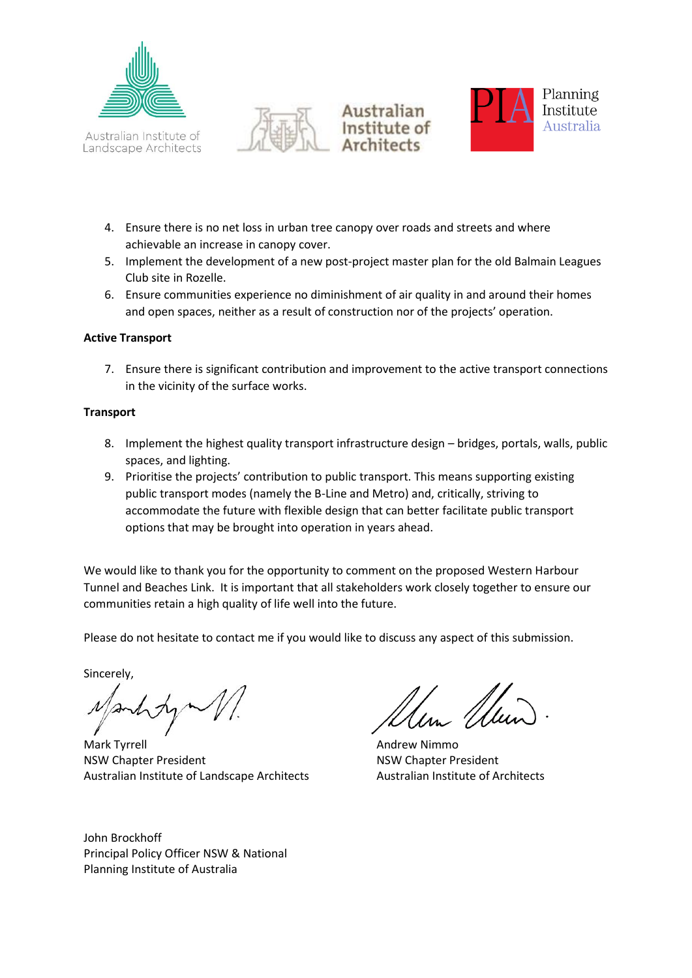







- 4. Ensure there is no net loss in urban tree canopy over roads and streets and where achievable an increase in canopy cover.
- 5. Implement the development of a new post-project master plan for the old Balmain Leagues Club site in Rozelle.
- 6. Ensure communities experience no diminishment of air quality in and around their homes and open spaces, neither as a result of construction nor of the projects' operation.

### **Active Transport**

7. Ensure there is significant contribution and improvement to the active transport connections in the vicinity of the surface works.

#### **Transport**

- 8. Implement the highest quality transport infrastructure design bridges, portals, walls, public spaces, and lighting.
- 9. Prioritise the projects' contribution to public transport. This means supporting existing public transport modes (namely the B-Line and Metro) and, critically, striving to accommodate the future with flexible design that can better facilitate public transport options that may be brought into operation in years ahead.

We would like to thank you for the opportunity to comment on the proposed Western Harbour Tunnel and Beaches Link. It is important that all stakeholders work closely together to ensure our communities retain a high quality of life well into the future.

Please do not hesitate to contact me if you would like to discuss any aspect of this submission.

Sincerely,

Mark Tyrrell **Mark Tyrrell** Andrew Nimmo NSW Chapter President NSW Chapter President Australian Institute of Landscape Architects Australian Institute of Architects

John Brockhoff Principal Policy Officer NSW & National Planning Institute of Australia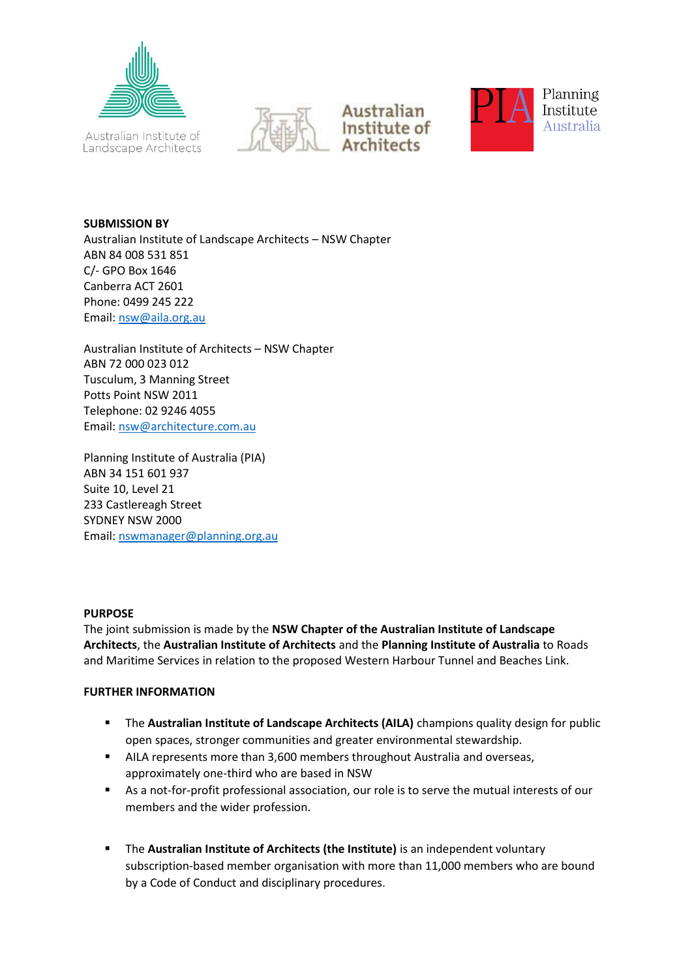







**SUBMISSION BY** Australian Institute of Landscape Architects – NSW Chapter ABN 84 008 531 851 C/- GPO Box 1646 Canberra ACT 2601 Phone: 0499 245 222 Email: [nsw@aila.org.au](mailto:nsw@aila.org.au)

Australian Institute of Architects – NSW Chapter ABN 72 000 023 012 Tusculum, 3 Manning Street Potts Point NSW 2011 Telephone: 02 9246 4055 Email: [nsw@architecture.com.au](mailto:nsw@architecture.com.au)

Planning Institute of Australia (PIA) ABN 34 151 601 937 Suite 10, Level 21 233 Castlereagh Street SYDNEY NSW 2000 Email: [nswmanager@planning.org.au](mailto:nswmanager@planning.org.au)

#### **PURPOSE**

The joint submission is made by the **NSW Chapter of the Australian Institute of Landscape Architects**, the **Australian Institute of Architects** and the **Planning Institute of Australia** to Roads and Maritime Services in relation to the proposed Western Harbour Tunnel and Beaches Link.

### **FURTHER INFORMATION**

- **EXTER Australian Institute of Landscape Architects (AILA)** champions quality design for public open spaces, stronger communities and greater environmental stewardship.
- AILA represents more than 3,600 members throughout Australia and overseas, approximately one-third who are based in NSW
- As a not-for-profit professional association, our role is to serve the mutual interests of our members and the wider profession.
- The **Australian Institute of Architects (the Institute)** is an independent voluntary subscription-based member organisation with more than 11,000 members who are bound by a Code of Conduct and disciplinary procedures.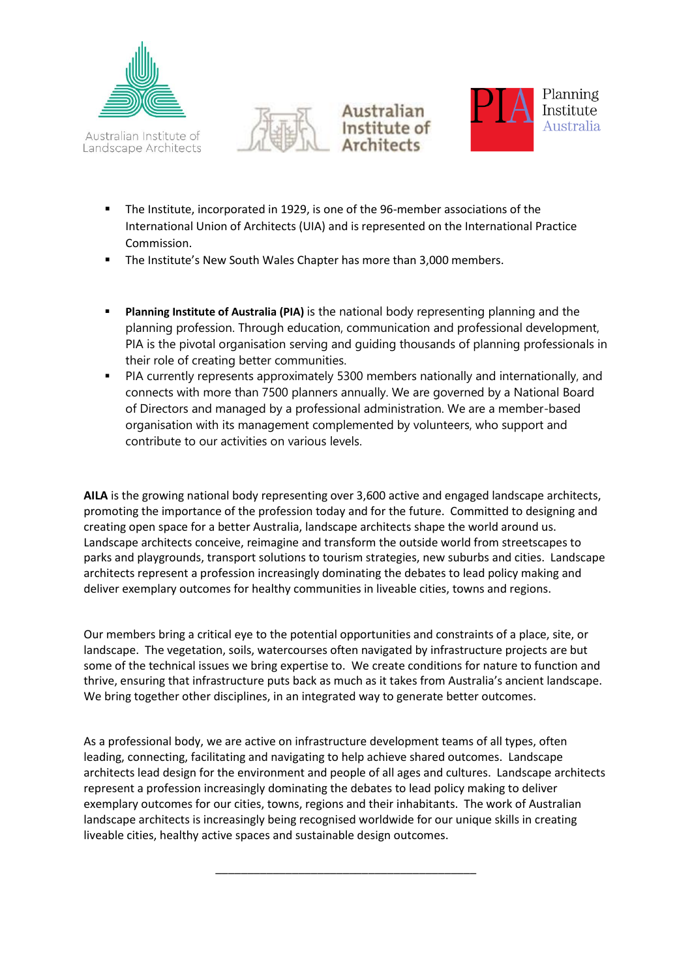







- The Institute, incorporated in 1929, is one of the 96-member associations of the International Union of Architects (UIA) and is represented on the International Practice Commission.
- The Institute's New South Wales Chapter has more than 3,000 members.
- **Planning Institute of Australia (PIA)** is the national body representing planning and the planning profession. Through education, communication and professional development, PIA is the pivotal organisation serving and guiding thousands of planning professionals in their role of creating better communities.
- PIA currently represents approximately 5300 members nationally and internationally, and connects with more than 7500 planners annually. We are governed by a National Board of Directors and managed by a professional administration. We are a member-based organisation with its management complemented by volunteers, who support and contribute to our activities on various levels.

**AILA** is the growing national body representing over 3,600 active and engaged landscape architects, promoting the importance of the profession today and for the future. Committed to designing and creating open space for a better Australia, landscape architects shape the world around us. Landscape architects conceive, reimagine and transform the outside world from streetscapes to parks and playgrounds, transport solutions to tourism strategies, new suburbs and cities. Landscape architects represent a profession increasingly dominating the debates to lead policy making and deliver exemplary outcomes for healthy communities in liveable cities, towns and regions.

Our members bring a critical eye to the potential opportunities and constraints of a place, site, or landscape. The vegetation, soils, watercourses often navigated by infrastructure projects are but some of the technical issues we bring expertise to. We create conditions for nature to function and thrive, ensuring that infrastructure puts back as much as it takes from Australia's ancient landscape. We bring together other disciplines, in an integrated way to generate better outcomes.

As a professional body, we are active on infrastructure development teams of all types, often leading, connecting, facilitating and navigating to help achieve shared outcomes. Landscape architects lead design for the environment and people of all ages and cultures. Landscape architects represent a profession increasingly dominating the debates to lead policy making to deliver exemplary outcomes for our cities, towns, regions and their inhabitants. The work of Australian landscape architects is increasingly being recognised worldwide for our unique skills in creating liveable cities, healthy active spaces and sustainable design outcomes.

\_\_\_\_\_\_\_\_\_\_\_\_\_\_\_\_\_\_\_\_\_\_\_\_\_\_\_\_\_\_\_\_\_\_\_\_\_\_\_\_\_